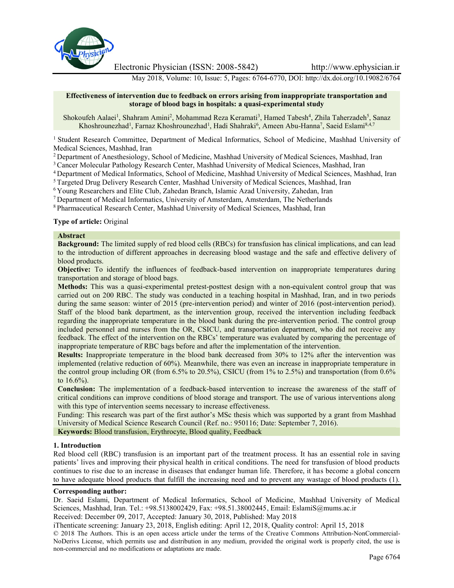

Electronic Physician (ISSN: 2008-5842) http://www.ephysician.ir

May 2018, Volume: 10, Issue: 5, Pages: 6764-6770, DOI: http://dx.doi.org/10.19082/6764

### **Effectiveness of intervention due to feedback on errors arising from inappropriate transportation and storage of blood bags in hospitals: a quasi-experimental study**

Shokoufeh Aalaei<sup>1</sup>, Shahram Amini<sup>2</sup>, Mohammad Reza Keramati<sup>3</sup>, Hamed Tabesh<sup>4</sup>, Zhila Taherzadeh<sup>5</sup>, Sanaz Khoshrounezhad<sup>1</sup>, Farnaz Khoshrounezhad<sup>1</sup>, Hadi Shahraki<sup>6</sup>, Ameen Abu-Hanna<sup>7</sup>, Saeid Eslami<sup>8,4,7</sup>

<sup>1</sup> Student Research Committee, Department of Medical Informatics, School of Medicine, Mashhad University of Medical Sciences, Mashhad, Iran

<sup>2</sup> Department of Anesthesiology, School of Medicine, Mashhad University of Medical Sciences, Mashhad, Iran

<sup>3</sup> Cancer Molecular Pathology Research Center, Mashhad University of Medical Sciences, Mashhad, Iran

<sup>4</sup> Department of Medical Informatics, School of Medicine, Mashhad University of Medical Sciences, Mashhad, Iran

<sup>5</sup> Targeted Drug Delivery Research Center, Mashhad University of Medical Sciences, Mashhad, Iran

<sup>6</sup> Young Researchers and Elite Club, Zahedan Branch, Islamic Azad University, Zahedan, Iran

<sup>7</sup> Department of Medical Informatics, University of Amsterdam, Amsterdam, The Netherlands

<sup>8</sup> Pharmaceutical Research Center, Mashhad University of Medical Sciences, Mashhad, Iran

### **Type of article:** Original

### **Abstract**

**Background:** The limited supply of red blood cells (RBCs) for transfusion has clinical implications, and can lead to the introduction of different approaches in decreasing blood wastage and the safe and effective delivery of blood products.

**Objective:** To identify the influences of feedback-based intervention on inappropriate temperatures during transportation and storage of blood bags.

**Methods:** This was a quasi-experimental pretest-posttest design with a non-equivalent control group that was carried out on 200 RBC. The study was conducted in a teaching hospital in Mashhad, Iran, and in two periods during the same season: winter of 2015 (pre-intervention period) and winter of 2016 (post-intervention period). Staff of the blood bank department, as the intervention group, received the intervention including feedback regarding the inappropriate temperature in the blood bank during the pre-intervention period. The control group included personnel and nurses from the OR, CSICU, and transportation department, who did not receive any feedback. The effect of the intervention on the RBCs' temperature was evaluated by comparing the percentage of inappropriate temperature of RBC bags before and after the implementation of the intervention.

**Results:** Inappropriate temperature in the blood bank decreased from 30% to 12% after the intervention was implemented (relative reduction of 60%). Meanwhile, there was even an increase in inappropriate temperature in the control group including OR (from 6.5% to 20.5%), CSICU (from 1% to 2.5%) and transportation (from 0.6% to 16.6%).

**Conclusion:** The implementation of a feedback-based intervention to increase the awareness of the staff of critical conditions can improve conditions of blood storage and transport. The use of various interventions along with this type of intervention seems necessary to increase effectiveness.

Funding: This research was part of the first author's MSc thesis which was supported by a grant from Mashhad University of Medical Science Research Council (Ref. no.: 950116; Date: September 7, 2016).

**Keywords:** Blood transfusion, Erythrocyte, Blood quality, Feedback

### **1. Introduction**

Red blood cell (RBC) transfusion is an important part of the treatment process. It has an essential role in saving patients' lives and improving their physical health in critical conditions. The need for transfusion of blood products continues to rise due to an increase in diseases that endanger human life. Therefore, it has become a global concern to have adequate blood products that fulfill the increasing need and to prevent any wastage of blood products (1).

### **Corresponding author:**

Dr. Saeid Eslami, Department of Medical Informatics, School of Medicine, Mashhad University of Medical Sciences, Mashhad, Iran. Tel.: +98.5138002429, Fax: +98.51.38002445, Email: EslamiS@mums.ac.ir

Received: December 09, 2017, Accepted: January 30, 2018, Published: May 2018

iThenticate screening: January 23, 2018, English editing: April 12, 2018, Quality control: April 15, 2018

© 2018 The Authors. This is an open access article under the terms of the Creative Commons Attribution-NonCommercial- NoDerivs License, which permits use and distribution in any medium, provided the original work is properly cited, the use is non-commercial and no modifications or adaptations are made.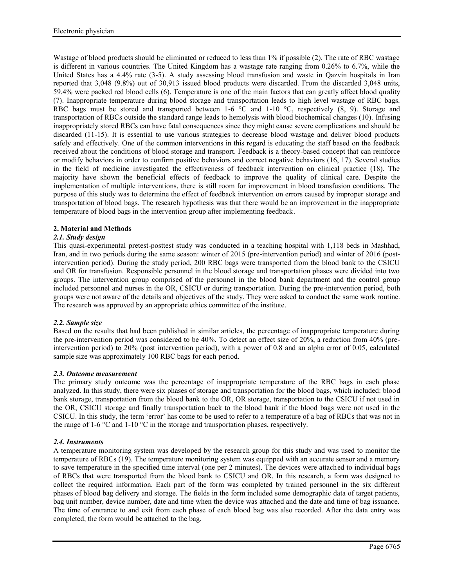Wastage of blood products should be eliminated or reduced to less than 1% if possible (2). The rate of RBC wastage is different in various countries. The United Kingdom has a wastage rate ranging from 0.26% to 6.7%, while the United States has a 4.4% rate (3-5). A study assessing blood transfusion and waste in Qazvin hospitals in Iran reported that 3,048 (9.8%) out of 30,913 issued blood products were discarded. From the discarded 3,048 units, 59.4% were packed red blood cells (6). Temperature is one of the main factors that can greatly affect blood quality (7). Inappropriate temperature during blood storage and transportation leads to high level wastage of RBC bags. RBC bags must be stored and transported between 1-6 °C and 1-10 °C, respectively (8, 9). Storage and transportation of RBCs outside the standard range leads to hemolysis with blood biochemical changes (10). Infusing inappropriately stored RBCs can have fatal consequences since they might cause severe complications and should be discarded (11-15). It is essential to use various strategies to decrease blood wastage and deliver blood products safely and effectively. One of the common interventions in this regard is educating the staff based on the feedback received about the conditions of blood storage and transport. Feedback is a theory-based concept that can reinforce or modify behaviors in order to confirm positive behaviors and correct negative behaviors (16, 17). Several studies in the field of medicine investigated the effectiveness of feedback intervention on clinical practice (18). The majority have shown the beneficial effects of feedback to improve the quality of clinical care. Despite the implementation of multiple interventions, there is still room for improvement in blood transfusion conditions. The purpose of this study was to determine the effect of feedback intervention on errors caused by improper storage and transportation of blood bags. The research hypothesis was that there would be an improvement in the inappropriate temperature of blood bags in the intervention group after implementing feedback.

# **2. Material and Methods**

# *2.1. Study design*

This quasi-experimental pretest-posttest study was conducted in a teaching hospital with 1,118 beds in Mashhad, Iran, and in two periods during the same season: winter of 2015 (pre-intervention period) and winter of 2016 (postintervention period). During the study period, 200 RBC bags were transported from the blood bank to the CSICU and OR for transfusion. Responsible personnel in the blood storage and transportation phases were divided into two groups. The intervention group comprised of the personnel in the blood bank department and the control group included personnel and nurses in the OR, CSICU or during transportation. During the pre-intervention period, both groups were not aware of the details and objectives of the study. They were asked to conduct the same work routine. The research was approved by an appropriate ethics committee of the institute.

# *2.2. Sample size*

Based on the results that had been published in similar articles, the percentage of inappropriate temperature during the pre-intervention period was considered to be 40%. To detect an effect size of 20%, a reduction from 40% (preintervention period) to 20% (post intervention period), with a power of 0.8 and an alpha error of 0.05, calculated sample size was approximately 100 RBC bags for each period.

# *2.3. Outcome measurement*

The primary study outcome was the percentage of inappropriate temperature of the RBC bags in each phase analyzed. In this study, there were six phases of storage and transportation for the blood bags, which included: blood bank storage, transportation from the blood bank to the OR, OR storage, transportation to the CSICU if not used in the OR, CSICU storage and finally transportation back to the blood bank if the blood bags were not used in the CSICU. In this study, the term 'error' has come to be used to refer to a temperature of a bag of RBCs that was not in the range of 1-6 °C and 1-10 °C in the storage and transportation phases, respectively.

# *2.4. Instruments*

A temperature monitoring system was developed by the research group for this study and was used to monitor the temperature of RBCs (19). The temperature monitoring system was equipped with an accurate sensor and a memory to save temperature in the specified time interval (one per 2 minutes). The devices were attached to individual bags of RBCs that were transported from the blood bank to CSICU and OR. In this research, a form was designed to collect the required information. Each part of the form was completed by trained personnel in the six different phases of blood bag delivery and storage. The fields in the form included some demographic data of target patients, bag unit number, device number, date and time when the device was attached and the date and time of bag issuance. The time of entrance to and exit from each phase of each blood bag was also recorded. After the data entry was completed, the form would be attached to the bag.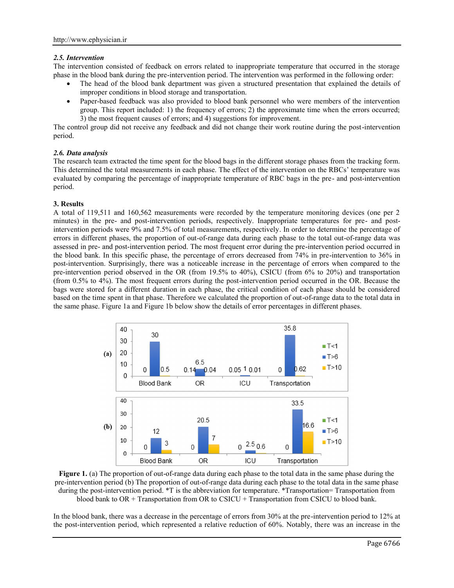# *2.5. Intervention*

The intervention consisted of feedback on errors related to inappropriate temperature that occurred in the storage phase in the blood bank during the pre-intervention period. The intervention was performed in the following order:

- The head of the blood bank department was given a structured presentation that explained the details of improper conditions in blood storage and transportation.
- Paper-based feedback was also provided to blood bank personnel who were members of the intervention group. This report included: 1) the frequency of errors; 2) the approximate time when the errors occurred; 3) the most frequent causes of errors; and 4) suggestions for improvement.

The control group did not receive any feedback and did not change their work routine during the post-intervention period.

# *2.6. Data analysis*

The research team extracted the time spent for the blood bags in the different storage phases from the tracking form. This determined the total measurements in each phase. The effect of the intervention on the RBCs' temperature was evaluated by comparing the percentage of inappropriate temperature of RBC bags in the pre- and post-intervention period.

# **3. Results**

A total of 119,511 and 160,562 measurements were recorded by the temperature monitoring devices (one per 2 minutes) in the pre- and post-intervention periods, respectively. Inappropriate temperatures for pre- and postintervention periods were 9% and 7.5% of total measurements, respectively. In order to determine the percentage of errors in different phases, the proportion of out-of-range data during each phase to the total out-of-range data was assessed in pre- and post-intervention period. The most frequent error during the pre-intervention period occurred in the blood bank. In this specific phase, the percentage of errors decreased from 74% in pre-intervention to 36% in post-intervention. Surprisingly, there was a noticeable increase in the percentage of errors when compared to the pre-intervention period observed in the OR (from 19.5% to 40%), CSICU (from 6% to 20%) and transportation (from 0.5% to 4%). The most frequent errors during the post-intervention period occurred in the OR. Because the bags were stored for a different duration in each phase, the critical condition of each phase should be considered based on the time spent in that phase. Therefore we calculated the proportion of out-of-range data to the total data in the same phase. Figure 1a and Figure 1b below show the details of error percentages in different phases.



**Figure 1.** (a) The proportion of out-of-range data during each phase to the total data in the same phase during the pre-intervention period (b) The proportion of out-of-range data during each phase to the total data in the same phase during the post-intervention period. \*T is the abbreviation for temperature. \*Transportation= Transportation from blood bank to OR + Transportation from OR to CSICU + Transportation from CSICU to blood bank.

In the blood bank, there was a decrease in the percentage of errors from 30% at the pre-intervention period to 12% at the post-intervention period, which represented a relative reduction of 60%. Notably, there was an increase in the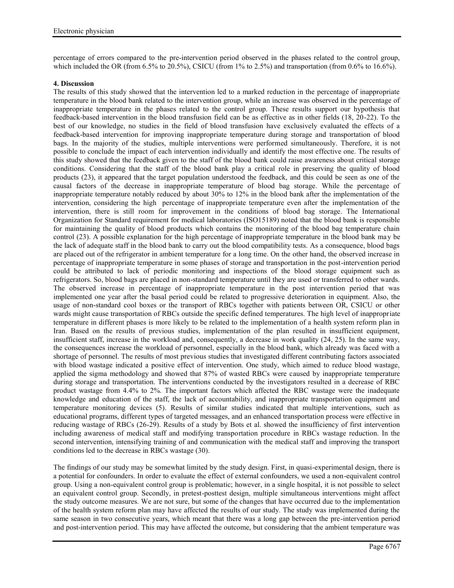percentage of errors compared to the pre-intervention period observed in the phases related to the control group, which included the OR (from 6.5% to 20.5%), CSICU (from 1% to 2.5%) and transportation (from 0.6% to 16.6%).

## **4. Discussion**

The results of this study showed that the intervention led to a marked reduction in the percentage of inappropriate temperature in the blood bank related to the intervention group, while an increase was observed in the percentage of inappropriate temperature in the phases related to the control group. These results support our hypothesis that feedback-based intervention in the blood transfusion field can be as effective as in other fields (18, 20-22). To the best of our knowledge, no studies in the field of blood transfusion have exclusively evaluated the effects of a feedback-based intervention for improving inappropriate temperature during storage and transportation of blood bags. In the majority of the studies, multiple interventions were performed simultaneously. Therefore, it is not possible to conclude the impact of each intervention individually and identify the most effective one. The results of this study showed that the feedback given to the staff of the blood bank could raise awareness about critical storage conditions. Considering that the staff of the blood bank play a critical role in preserving the quality of blood products (23), it appeared that the target population understood the feedback, and this could be seen as one of the causal factors of the decrease in inappropriate temperature of blood bag storage. While the percentage of inappropriate temperature notably reduced by about 30% to 12% in the blood bank after the implementation of the intervention, considering the high percentage of inappropriate temperature even after the implementation of the intervention, there is still room for improvement in the conditions of blood bag storage. The International Organization for Standard requirement for medical laboratories (ISO15189) noted that the blood bank is responsible for maintaining the quality of blood products which contains the monitoring of the blood bag temperature chain control (23). A possible explanation for the high percentage of inappropriate temperature in the blood bank may be the lack of adequate staff in the blood bank to carry out the blood compatibility tests. As a consequence, blood bags are placed out of the refrigerator in ambient temperature for a long time. On the other hand, the observed increase in percentage of inappropriate temperature in some phases of storage and transportation in the post-intervention period could be attributed to lack of periodic monitoring and inspections of the blood storage equipment such as refrigerators. So, blood bags are placed in non-standard temperature until they are used or transferred to other wards. The observed increase in percentage of inappropriate temperature in the post intervention period that was implemented one year after the basal period could be related to progressive deterioration in equipment. Also, the usage of non-standard cool boxes or the transport of RBCs together with patients between OR, CSICU or other wards might cause transportation of RBCs outside the specific defined temperatures. The high level of inappropriate temperature in different phases is more likely to be related to the implementation of a health system reform plan in Iran. Based on the results of previous studies, implementation of the plan resulted in insufficient equipment, insufficient staff, increase in the workload and, consequently, a decrease in work quality (24, 25). In the same way, the consequences increase the workload of personnel, especially in the blood bank, which already was faced with a shortage of personnel. The results of most previous studies that investigated different contributing factors associated with blood wastage indicated a positive effect of intervention. One study, which aimed to reduce blood wastage, applied the sigma methodology and showed that 87% of wasted RBCs were caused by inappropriate temperature during storage and transportation. The interventions conducted by the investigators resulted in a decrease of RBC product wastage from 4.4% to 2%. The important factors which affected the RBC wastage were the inadequate knowledge and education of the staff, the lack of accountability, and inappropriate transportation equipment and temperature monitoring devices (5). Results of similar studies indicated that multiple interventions, such as educational programs, different types of targeted messages, and an enhanced transportation process were effective in reducing wastage of RBCs (26-29). Results of a study by Bots et al. showed the insufficiency of first intervention including awareness of medical staff and modifying transportation procedure in RBCs wastage reduction. In the second intervention, intensifying training of and communication with the medical staff and improving the transport conditions led to the decrease in RBCs wastage (30).

The findings of our study may be somewhat limited by the study design. First, in quasi-experimental design, there is a potential for confounders. In order to evaluate the effect of external confounders, we used a non-equivalent control group. Using a non-equivalent control group is problematic; however, in a single hospital, it is not possible to select an equivalent control group. Secondly, in pretest-posttest design, multiple simultaneous interventions might affect the study outcome measures. We are not sure, but some of the changes that have occurred due to the implementation of the health system reform plan may have affected the results of our study. The study was implemented during the same season in two consecutive years, which meant that there was a long gap between the pre-intervention period and post-intervention period. This may have affected the outcome, but considering that the ambient temperature was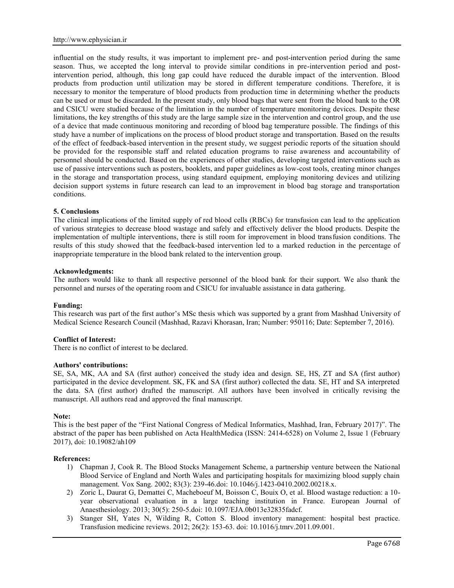influential on the study results, it was important to implement pre- and post-intervention period during the same season. Thus, we accepted the long interval to provide similar conditions in pre-intervention period and postintervention period, although, this long gap could have reduced the durable impact of the intervention. Blood products from production until utilization may be stored in different temperature conditions. Therefore, it is necessary to monitor the temperature of blood products from production time in determining whether the products can be used or must be discarded. In the present study, only blood bags that were sent from the blood bank to the OR and CSICU were studied because of the limitation in the number of temperature monitoring devices. Despite these limitations, the key strengths of this study are the large sample size in the intervention and control group, and the use of a device that made continuous monitoring and recording of blood bag temperature possible. The findings of this study have a number of implications on the process of blood product storage and transportation. Based on the results of the effect of feedback-based intervention in the present study, we suggest periodic reports of the situation should be provided for the responsible staff and related education programs to raise awareness and accountability of personnel should be conducted. Based on the experiences of other studies, developing targeted interventions such as use of passive interventions such as posters, booklets, and paper guidelines as low-cost tools, creating minor changes in the storage and transportation process, using standard equipment, employing monitoring devices and utilizing decision support systems in future research can lead to an improvement in blood bag storage and transportation conditions.

### **5. Conclusions**

The clinical implications of the limited supply of red blood cells (RBCs) for transfusion can lead to the application of various strategies to decrease blood wastage and safely and effectively deliver the blood products. Despite the implementation of multiple interventions, there is still room for improvement in blood transfusion conditions. The results of this study showed that the feedback-based intervention led to a marked reduction in the percentage of inappropriate temperature in the blood bank related to the intervention group.

#### **Acknowledgments:**

The authors would like to thank all respective personnel of the blood bank for their support. We also thank the personnel and nurses of the operating room and CSICU for invaluable assistance in data gathering.

### **Funding:**

This research was part of the first author's MSc thesis which was supported by a grant from Mashhad University of Medical Science Research Council (Mashhad, Razavi Khorasan, Iran; Number: 950116; Date: September 7, 2016).

### **Conflict of Interest:**

There is no conflict of interest to be declared.

#### **Authors' contributions:**

SE, SA, MK, AA and SA (first author) conceived the study idea and design. SE, HS, ZT and SA (first author) participated in the device development. SK, FK and SA (first author) collected the data. SE, HT and SA interpreted the data. SA (first author) drafted the manuscript. All authors have been involved in critically revising the manuscript. All authors read and approved the final manuscript.

### **Note:**

This is the best paper of the "First National Congress of Medical Informatics, Mashhad, Iran, February 2017)". The abstract of the paper has been published on Acta HealthMedica (ISSN: 2414-6528) on Volume 2, Issue 1 (February 2017), doi: 10.19082/ah109

### **References:**

- 1) Chapman J, Cook R. The Blood Stocks Management Scheme, a partnership venture between the National Blood Service of England and North Wales and participating hospitals for maximizing blood supply chain management. Vox Sang. 2002; 83(3): 239-46.doi: 10.1046/j.1423-0410.2002.00218.x.
- 2) Zoric L, Daurat G, Demattei C, Macheboeuf M, Boisson C, Bouix O, et al. Blood wastage reduction: a 10 year observational evaluation in a large teaching institution in France. European Journal of Anaesthesiology. 2013; 30(5): 250-5.doi: 10.1097/EJA.0b013e32835fadcf.
- 3) Stanger SH, Yates N, Wilding R, Cotton S. Blood inventory management: hospital best practice. Transfusion medicine reviews. 2012; 26(2): 153-63. doi: 10.1016/j.tmrv.2011.09.001.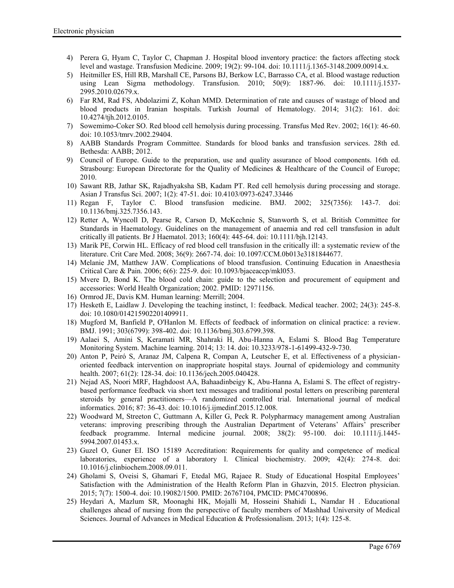- 4) Perera G, Hyam C, Taylor C, Chapman J. Hospital blood inventory practice: the factors affecting stock level and wastage. Transfusion Medicine. 2009; 19(2): 99-104. doi: 10.1111/j.1365-3148.2009.00914.x.
- 5) Heitmiller ES, Hill RB, Marshall CE, Parsons BJ, Berkow LC, Barrasso CA, et al. Blood wastage reduction using Lean Sigma methodology. Transfusion. 2010; 50(9): 1887-96. doi: 10.1111/j.1537- 2995.2010.02679.x.
- 6) Far RM, Rad FS, Abdolazimi Z, Kohan MMD. Determination of rate and causes of wastage of blood and blood products in Iranian hospitals. Turkish Journal of Hematology. 2014; 31(2): 161. doi: 10.4274/tjh.2012.0105.
- 7) Sowemimo-Coker SO. Red blood cell hemolysis during processing. Transfus Med Rev. 2002; 16(1): 46-60. doi: 10.1053/tmrv.2002.29404.
- 8) AABB Standards Program Committee. Standards for blood banks and transfusion services. 28th ed. Bethesda: AABB; 2012.
- 9) Council of Europe. Guide to the preparation, use and quality assurance of blood components. 16th ed. Strasbourg: European Directorate for the Quality of Medicines & Healthcare of the Council of Europe; 2010.
- 10) Sawant RB, Jathar SK, Rajadhyaksha SB, Kadam PT. Red cell hemolysis during processing and storage. Asian J Transfus Sci. 2007; 1(2): 47-51. doi: 10.4103/0973-6247.33446
- 11) Regan F, Taylor C. Blood transfusion medicine. BMJ. 2002; 325(7356): 143-7. doi: 10.1136/bmj.325.7356.143.
- 12) Retter A, Wyncoll D, Pearse R, Carson D, McKechnie S, Stanworth S, et al. British Committee for Standards in Haematology. Guidelines on the management of anaemia and red cell transfusion in adult critically ill patients. Br J Haematol. 2013; 160(4): 445-64. doi: 10.1111/bjh.12143.
- 13) Marik PE, Corwin HL. Efficacy of red blood cell transfusion in the critically ill: a systematic review of the literature. Crit Care Med. 2008; 36(9): 2667-74. doi: 10.1097/CCM.0b013e3181844677.
- 14) Melanie JM, Matthew JAW. Complications of blood transfusion. Continuing Education in Anaesthesia Critical Care & Pain. 2006; 6(6): 225-9. doi: 10.1093/bjaceaccp/mkl053.
- 15) Mvere D, Bond K. The blood cold chain: guide to the selection and procurement of equipment and accessories: World Health Organization; 2002. PMID: 12971156.
- 16) Ormrod JE, Davis KM. Human learning: Merrill; 2004.
- 17) Hesketh E, Laidlaw J. Developing the teaching instinct, 1: feedback. Medical teacher. 2002; 24(3): 245-8. doi: 10.1080/014215902201409911.
- 18) Mugford M, Banfield P, O'Hanlon M. Effects of feedback of information on clinical practice: a review. BMJ. 1991; 303(6799): 398-402. doi: 10.1136/bmj.303.6799.398.
- 19) Aalaei S, Amini S, Keramati MR, Shahraki H, Abu-Hanna A, Eslami S. Blood Bag Temperature Monitoring System. Machine learning. 2014; 13: 14. doi: 10.3233/978-1-61499-432-9-730.
- 20) Anton P, Peiró S, Aranaz JM, Calpena R, Compan A, Leutscher E, et al. Effectiveness of a physician oriented feedback intervention on inappropriate hospital stays. Journal of epidemiology and community health. 2007; 61(2): 128-34. doi: 10.1136/jech.2005.040428.
- 21) Nejad AS, Noori MRF, Haghdoost AA, Bahaadinbeigy K, Abu-Hanna A, Eslami S. The effect of registry based performance feedback via short text messages and traditional postal letters on prescribing parenteral steroids by general practitioners—A randomized controlled trial. International journal of medical informatics. 2016; 87: 36-43. doi: 10.1016/j.ijmedinf.2015.12.008.
- 22) Woodward M, Streeton C, Guttmann A, Killer G, Peck R. Polypharmacy management among Australian veterans: improving prescribing through the Australian Department of Veterans' Affairs' prescriber feedback programme. Internal medicine journal. 2008; 38(2): 95-100. doi: 10.1111/j.1445- 5994.2007.01453.x.
- 23) Guzel O, Guner EI. ISO 15189 Accreditation: Requirements for quality and competence of medical laboratories, experience of a laboratory I. Clinical biochemistry. 2009; 42(4): 274-8. doi: 10.1016/j.clinbiochem.2008.09.011.
- 24) Gholami S, Oveisi S, Ghamari F, Etedal MG, Rajaee R. Study of Educational Hospital Employees' Satisfaction with the Administration of the Health Reform Plan in Ghazvin, 2015. Electron physician. 2015; 7(7): 1500-4. doi: 10.19082/1500. PMID: 26767104, PMCID: PMC4700896.
- 25) Heydari A, Mazlum SR, Moonaghi HK, Mojalli M, Hosseini Shahidi L, Namdar H . Educational challenges ahead of nursing from the perspective of faculty members of Mashhad University of Medical Sciences. Journal of Advances in Medical Education & Professionalism. 2013; 1(4): 125-8.